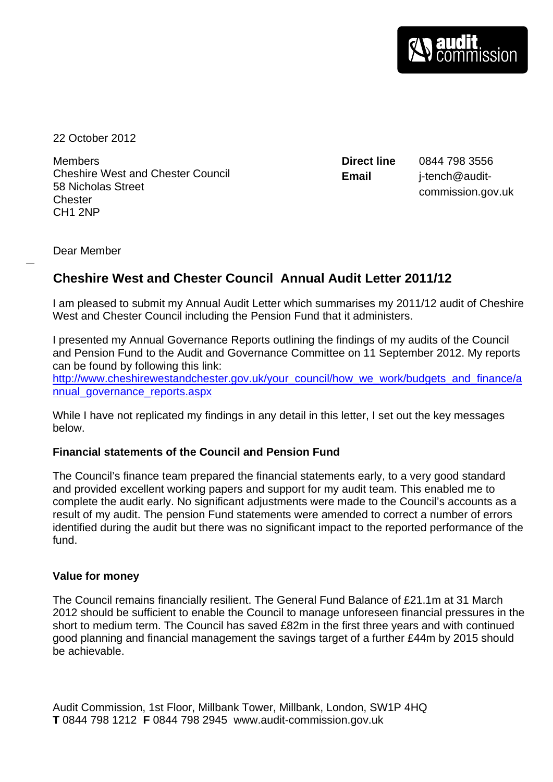22 October 2012

Members Cheshire West and Chester Council 58 Nicholas Street **Chester** CH1 2NP

**Direct line** 0844 798 3556 **Email** j-tench@auditcommission.gov.uk

Dear Member

# **Cheshire West and Chester Council Annual Audit Letter 2011/12**

I am pleased to submit my Annual Audit Letter which summarises my 2011/12 audit of Cheshire West and Chester Council including the Pension Fund that it administers.

I presented my Annual Governance Reports outlining the findings of my audits of the Council and Pension Fund to the Audit and Governance Committee on 11 September 2012. My reports can be found by following this link:

[http://www.cheshirewestandchester.gov.uk/your\\_council/how\\_we\\_work/budgets\\_and\\_finance/a](http://www.cheshirewestandchester.gov.uk/your_council/how_we_work/budgets_and_finance/annual_governance_reports.aspx) [nnual\\_governance\\_reports.aspx](http://www.cheshirewestandchester.gov.uk/your_council/how_we_work/budgets_and_finance/annual_governance_reports.aspx)

While I have not replicated my findings in any detail in this letter, I set out the key messages below.

### **Financial statements of the Council and Pension Fund**

The Council's finance team prepared the financial statements early, to a very good standard and provided excellent working papers and support for my audit team. This enabled me to complete the audit early. No significant adjustments were made to the Council's accounts as a result of my audit. The pension Fund statements were amended to correct a number of errors identified during the audit but there was no significant impact to the reported performance of the fund.

### **Value for money**

The Council remains financially resilient. The General Fund Balance of £21.1m at 31 March 2012 should be sufficient to enable the Council to manage unforeseen financial pressures in the short to medium term. The Council has saved £82m in the first three years and with continued good planning and financial management the savings target of a further £44m by 2015 should be achievable.

Audit Commission, 1st Floor, Millbank Tower, Millbank, London, SW1P 4HQ **T** 0844 798 1212 **F** 0844 798 2945 www.audit-commission.gov.uk